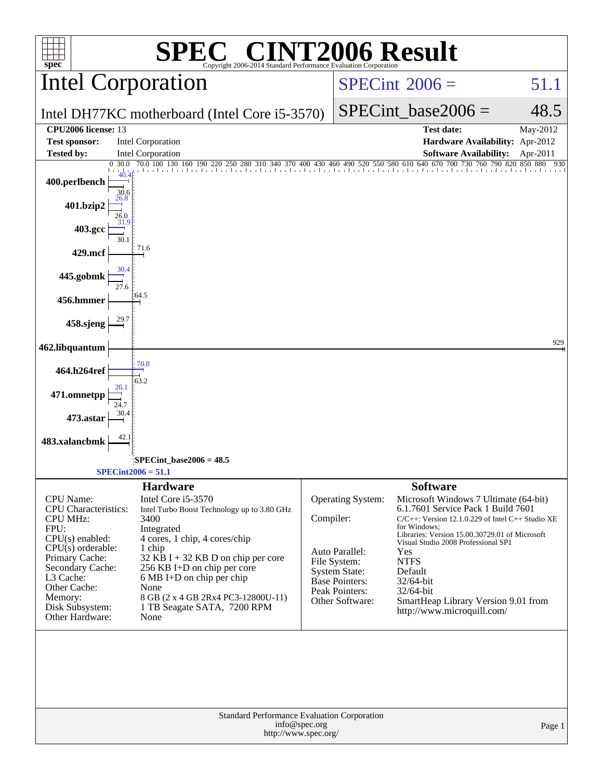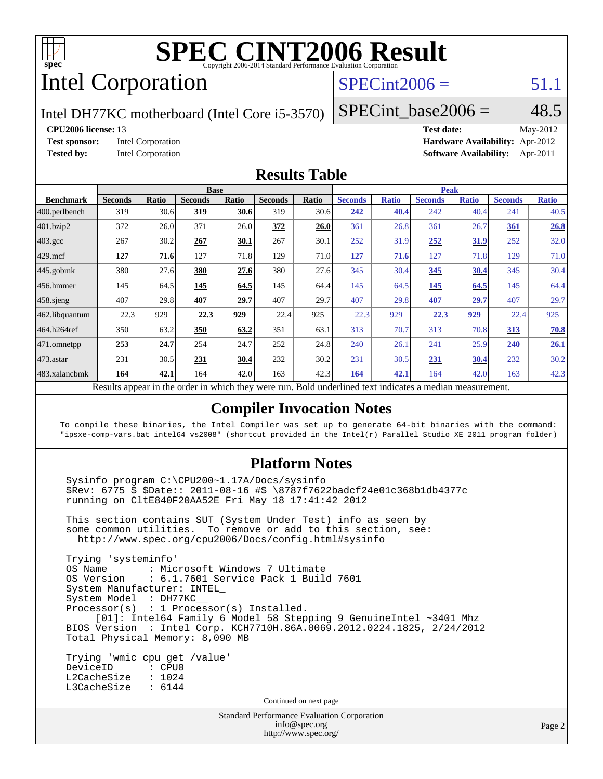

## Intel Corporation

### $SPECint2006 = 51.1$  $SPECint2006 = 51.1$

Intel DH77KC motherboard (Intel Core i5-3570)

SPECint base2006 =  $48.5$ 

**[CPU2006 license:](http://www.spec.org/auto/cpu2006/Docs/result-fields.html#CPU2006license)** 13 **[Test date:](http://www.spec.org/auto/cpu2006/Docs/result-fields.html#Testdate)** May-2012 **[Test sponsor:](http://www.spec.org/auto/cpu2006/Docs/result-fields.html#Testsponsor)** Intel Corporation **[Hardware Availability:](http://www.spec.org/auto/cpu2006/Docs/result-fields.html#HardwareAvailability)** Apr-2012 **[Tested by:](http://www.spec.org/auto/cpu2006/Docs/result-fields.html#Testedby)** Intel Corporation **[Software Availability:](http://www.spec.org/auto/cpu2006/Docs/result-fields.html#SoftwareAvailability)** Apr-2011

#### **[Results Table](http://www.spec.org/auto/cpu2006/Docs/result-fields.html#ResultsTable)**

| <b>Base</b>    |       |                |       | <b>Peak</b>    |       |                |                                                                     |                |              |                |              |
|----------------|-------|----------------|-------|----------------|-------|----------------|---------------------------------------------------------------------|----------------|--------------|----------------|--------------|
| <b>Seconds</b> | Ratio | <b>Seconds</b> | Ratio | <b>Seconds</b> | Ratio | <b>Seconds</b> | <b>Ratio</b>                                                        | <b>Seconds</b> | <b>Ratio</b> | <b>Seconds</b> | <b>Ratio</b> |
| 319            | 30.6  | <u>319</u>     | 30.6  | 319            |       | 242            | 40.4                                                                | 242            | 40.4         | 241            | 40.5         |
| 372            | 26.0  | 371            | 26.0  | 372            | 26.0  | 361            | 26.8                                                                | 361            | 26.7         | <b>361</b>     | 26.8         |
| 267            | 30.2  | 267            | 30.1  | 267            | 30.1  | 252            | 31.9                                                                | 252            | <u>31.9</u>  | 252            | 32.0         |
| 127            | 71.6  | 127            | 71.8  | 129            | 71.0  | <u> 127</u>    | 71.6                                                                | 127            | 71.8         | 129            | 71.0         |
| 380            | 27.6  | 380            | 27.6  | 380            |       | 345            | 30.4                                                                | 345            | 30.4         | 345            | 30.4         |
| 145            | 64.5  | 145            | 64.5  | 145            | 64.4  | 145            | 64.5                                                                | 145            | 64.5         | 145            | 64.4         |
| 407            | 29.8  | 407            | 29.7  | 407            | 29.7  | 407            | 29.8                                                                | 407            | 29.7         | 407            | 29.7         |
| 22.3           | 929   | 22.3           | 929   | 22.4           | 925   | 22.3           | 929                                                                 | 22.3           | 929          | 22.4           | 925          |
| 350            | 63.2  | 350            | 63.2  | 351            | 63.1  | 313            | 70.7                                                                | 313            | 70.8         | 313            | 70.8         |
| 253            | 24.7  | 254            | 24.7  | 252            | 24.8  | 240            | 26.1                                                                | 241            | 25.9         | 240            | 26.1         |
| 231            | 30.5  | 231            | 30.4  | 232            | 30.2  | 231            | 30.5                                                                | 231            | 30.4         | 232            | 30.2         |
| 164            | 42.1  | 164            |       | 163            | 42.3  | 164            | 42.1                                                                | 164            | 42.0         | 163            | 42.3         |
|                | 1.    |                |       |                | 42.0  |                | 30.6<br>27.6<br>1.1.1<br>$1 \quad 1$<br><b>D</b> 11<br>$\mathbf{1}$ | $\cdot$        | $\cdot$      |                |              |

Results appear in the [order in which they were run.](http://www.spec.org/auto/cpu2006/Docs/result-fields.html#RunOrder) Bold underlined text [indicates a median measurement.](http://www.spec.org/auto/cpu2006/Docs/result-fields.html#Median)

#### **[Compiler Invocation Notes](http://www.spec.org/auto/cpu2006/Docs/result-fields.html#CompilerInvocationNotes)**

To compile these binaries, the Intel Compiler was set up to generate 64-bit binaries with the command: "ipsxe-comp-vars.bat intel64 vs2008" (shortcut provided in the Intel(r) Parallel Studio XE 2011 program folder)

#### **[Platform Notes](http://www.spec.org/auto/cpu2006/Docs/result-fields.html#PlatformNotes)**

 Sysinfo program C:\CPU200~1.17A/Docs/sysinfo \$Rev: 6775 \$ \$Date:: 2011-08-16 #\$ \8787f7622badcf24e01c368b1db4377c running on CltE840F20AA52E Fri May 18 17:41:42 2012

 This section contains SUT (System Under Test) info as seen by some common utilities. To remove or add to this section, see: <http://www.spec.org/cpu2006/Docs/config.html#sysinfo>

 Trying 'systeminfo' : Microsoft Windows 7 Ultimate OS Version : 6.1.7601 Service Pack 1 Build 7601 System Manufacturer: INTEL\_ System Model : DH77KC\_\_ Processor(s) : 1 Processor(s) Installed. [01]: Intel64 Family 6 Model 58 Stepping 9 GenuineIntel ~3401 Mhz BIOS Version : Intel Corp. KCH7710H.86A.0069.2012.0224.1825, 2/24/2012 Total Physical Memory: 8,090 MB

 Trying 'wmic cpu get /value' DeviceID : CPU0 L2CacheSize : 1024 L3CacheSize : 6144

Continued on next page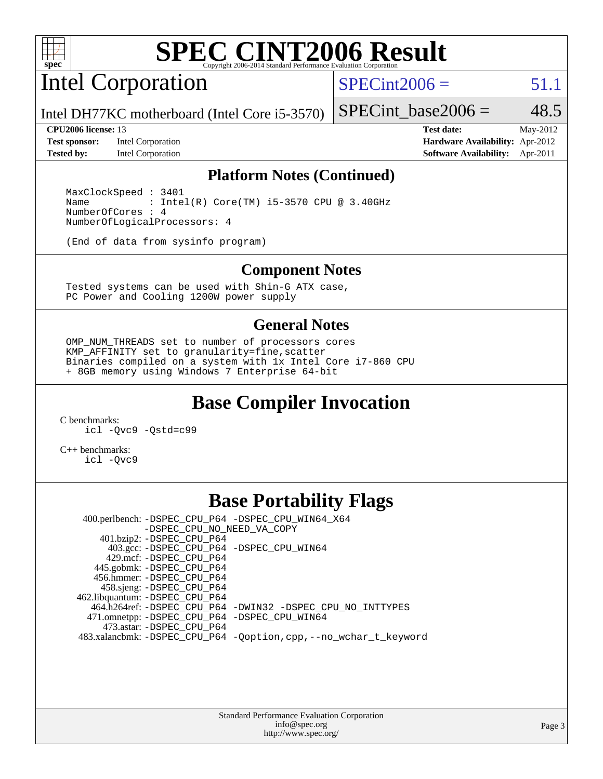

## Intel Corporation

 $SPECint2006 = 51.1$  $SPECint2006 = 51.1$ 

Intel DH77KC motherboard (Intel Core i5-3570)

**[Test sponsor:](http://www.spec.org/auto/cpu2006/Docs/result-fields.html#Testsponsor)** Intel Corporation **[Hardware Availability:](http://www.spec.org/auto/cpu2006/Docs/result-fields.html#HardwareAvailability)** Apr-2012

SPECint base2006 =  $48.5$ **[CPU2006 license:](http://www.spec.org/auto/cpu2006/Docs/result-fields.html#CPU2006license)** 13 **[Test date:](http://www.spec.org/auto/cpu2006/Docs/result-fields.html#Testdate)** May-2012

**[Tested by:](http://www.spec.org/auto/cpu2006/Docs/result-fields.html#Testedby)** Intel Corporation **[Software Availability:](http://www.spec.org/auto/cpu2006/Docs/result-fields.html#SoftwareAvailability)** Apr-2011

#### **[Platform Notes \(Continued\)](http://www.spec.org/auto/cpu2006/Docs/result-fields.html#PlatformNotes)**

 MaxClockSpeed : 3401 Name : Intel(R) Core(TM) i5-3570 CPU @ 3.40GHz NumberOfCores : 4 NumberOfLogicalProcessors: 4

(End of data from sysinfo program)

#### **[Component Notes](http://www.spec.org/auto/cpu2006/Docs/result-fields.html#ComponentNotes)**

 Tested systems can be used with Shin-G ATX case, PC Power and Cooling 1200W power supply

#### **[General Notes](http://www.spec.org/auto/cpu2006/Docs/result-fields.html#GeneralNotes)**

 OMP\_NUM\_THREADS set to number of processors cores KMP\_AFFINITY set to granularity=fine,scatter Binaries compiled on a system with 1x Intel Core i7-860 CPU + 8GB memory using Windows 7 Enterprise 64-bit

#### **[Base Compiler Invocation](http://www.spec.org/auto/cpu2006/Docs/result-fields.html#BaseCompilerInvocation)**

[C benchmarks](http://www.spec.org/auto/cpu2006/Docs/result-fields.html#Cbenchmarks):

[icl -Qvc9](http://www.spec.org/cpu2006/results/res2012q3/cpu2006-20120702-23376.flags.html#user_CCbase_intel_icc_vc9_6b5741b4033b9dc48df324263d9561bc) [-Qstd=c99](http://www.spec.org/cpu2006/results/res2012q3/cpu2006-20120702-23376.flags.html#user_CCbase_intel_compiler_c99_mode_1a3d110e3041b3ad4466830521bdad2a)

[C++ benchmarks:](http://www.spec.org/auto/cpu2006/Docs/result-fields.html#CXXbenchmarks) [icl -Qvc9](http://www.spec.org/cpu2006/results/res2012q3/cpu2006-20120702-23376.flags.html#user_CXXbase_intel_icc_vc9_6b5741b4033b9dc48df324263d9561bc)

### **[Base Portability Flags](http://www.spec.org/auto/cpu2006/Docs/result-fields.html#BasePortabilityFlags)**

 400.perlbench: [-DSPEC\\_CPU\\_P64](http://www.spec.org/cpu2006/results/res2012q3/cpu2006-20120702-23376.flags.html#b400.perlbench_basePORTABILITY_DSPEC_CPU_P64) [-DSPEC\\_CPU\\_WIN64\\_X64](http://www.spec.org/cpu2006/results/res2012q3/cpu2006-20120702-23376.flags.html#b400.perlbench_baseCPORTABILITY_DSPEC_CPU_WIN64_X64) [-DSPEC\\_CPU\\_NO\\_NEED\\_VA\\_COPY](http://www.spec.org/cpu2006/results/res2012q3/cpu2006-20120702-23376.flags.html#b400.perlbench_baseCPORTABILITY_DSPEC_CPU_NO_NEED_VA_COPY) 401.bzip2: [-DSPEC\\_CPU\\_P64](http://www.spec.org/cpu2006/results/res2012q3/cpu2006-20120702-23376.flags.html#suite_basePORTABILITY401_bzip2_DSPEC_CPU_P64) 403.gcc: [-DSPEC\\_CPU\\_P64](http://www.spec.org/cpu2006/results/res2012q3/cpu2006-20120702-23376.flags.html#suite_basePORTABILITY403_gcc_DSPEC_CPU_P64) [-DSPEC\\_CPU\\_WIN64](http://www.spec.org/cpu2006/results/res2012q3/cpu2006-20120702-23376.flags.html#b403.gcc_baseCPORTABILITY_DSPEC_CPU_WIN64) 429.mcf: [-DSPEC\\_CPU\\_P64](http://www.spec.org/cpu2006/results/res2012q3/cpu2006-20120702-23376.flags.html#suite_basePORTABILITY429_mcf_DSPEC_CPU_P64) 445.gobmk: [-DSPEC\\_CPU\\_P64](http://www.spec.org/cpu2006/results/res2012q3/cpu2006-20120702-23376.flags.html#suite_basePORTABILITY445_gobmk_DSPEC_CPU_P64) 456.hmmer: [-DSPEC\\_CPU\\_P64](http://www.spec.org/cpu2006/results/res2012q3/cpu2006-20120702-23376.flags.html#suite_basePORTABILITY456_hmmer_DSPEC_CPU_P64) 458.sjeng: [-DSPEC\\_CPU\\_P64](http://www.spec.org/cpu2006/results/res2012q3/cpu2006-20120702-23376.flags.html#suite_basePORTABILITY458_sjeng_DSPEC_CPU_P64) 462.libquantum: [-DSPEC\\_CPU\\_P64](http://www.spec.org/cpu2006/results/res2012q3/cpu2006-20120702-23376.flags.html#suite_basePORTABILITY462_libquantum_DSPEC_CPU_P64) 464.h264ref: [-DSPEC\\_CPU\\_P64](http://www.spec.org/cpu2006/results/res2012q3/cpu2006-20120702-23376.flags.html#suite_basePORTABILITY464_h264ref_DSPEC_CPU_P64) [-DWIN32](http://www.spec.org/cpu2006/results/res2012q3/cpu2006-20120702-23376.flags.html#b464.h264ref_baseCPORTABILITY_DWIN32) [-DSPEC\\_CPU\\_NO\\_INTTYPES](http://www.spec.org/cpu2006/results/res2012q3/cpu2006-20120702-23376.flags.html#b464.h264ref_baseCPORTABILITY_DSPEC_CPU_NO_INTTYPES) 471.omnetpp: [-DSPEC\\_CPU\\_P64](http://www.spec.org/cpu2006/results/res2012q3/cpu2006-20120702-23376.flags.html#suite_basePORTABILITY471_omnetpp_DSPEC_CPU_P64) [-DSPEC\\_CPU\\_WIN64](http://www.spec.org/cpu2006/results/res2012q3/cpu2006-20120702-23376.flags.html#b471.omnetpp_baseCXXPORTABILITY_DSPEC_CPU_WIN64) 473.astar: [-DSPEC\\_CPU\\_P64](http://www.spec.org/cpu2006/results/res2012q3/cpu2006-20120702-23376.flags.html#suite_basePORTABILITY473_astar_DSPEC_CPU_P64) 483.xalancbmk: [-DSPEC\\_CPU\\_P64](http://www.spec.org/cpu2006/results/res2012q3/cpu2006-20120702-23376.flags.html#suite_basePORTABILITY483_xalancbmk_DSPEC_CPU_P64) [-Qoption,cpp,--no\\_wchar\\_t\\_keyword](http://www.spec.org/cpu2006/results/res2012q3/cpu2006-20120702-23376.flags.html#user_baseCXXPORTABILITY483_xalancbmk_f-no_wchar_t_keyword_ec0ad4495a16b4e858bfcb29d949d25d)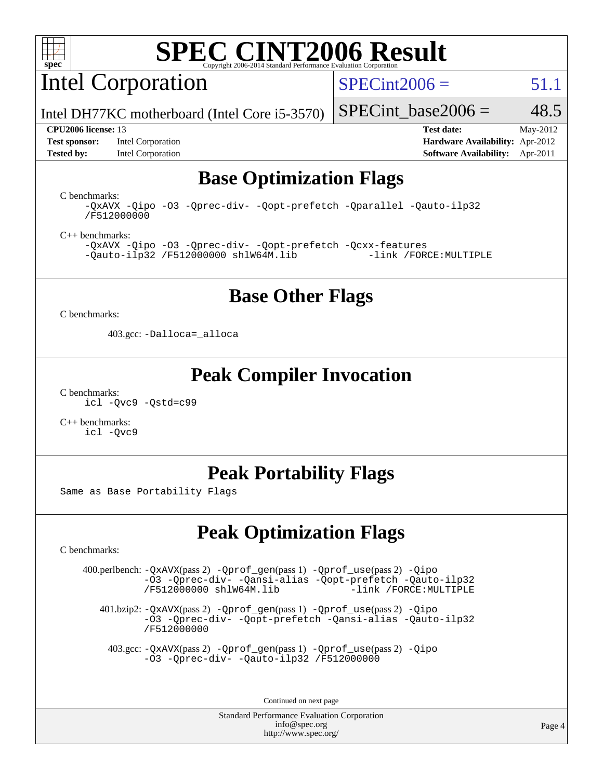

Intel Corporation

 $SPECint2006 = 51.1$  $SPECint2006 = 51.1$ 

Intel DH77KC motherboard (Intel Core i5-3570)

**[Test sponsor:](http://www.spec.org/auto/cpu2006/Docs/result-fields.html#Testsponsor)** Intel Corporation **[Hardware Availability:](http://www.spec.org/auto/cpu2006/Docs/result-fields.html#HardwareAvailability)** Apr-2012 **[Tested by:](http://www.spec.org/auto/cpu2006/Docs/result-fields.html#Testedby)** Intel Corporation **[Software Availability:](http://www.spec.org/auto/cpu2006/Docs/result-fields.html#SoftwareAvailability)** Apr-2011

SPECint base2006 =  $48.5$ **[CPU2006 license:](http://www.spec.org/auto/cpu2006/Docs/result-fields.html#CPU2006license)** 13 **[Test date:](http://www.spec.org/auto/cpu2006/Docs/result-fields.html#Testdate)** May-2012

## **[Base Optimization Flags](http://www.spec.org/auto/cpu2006/Docs/result-fields.html#BaseOptimizationFlags)**

[C benchmarks](http://www.spec.org/auto/cpu2006/Docs/result-fields.html#Cbenchmarks):

[-QxAVX](http://www.spec.org/cpu2006/results/res2012q3/cpu2006-20120702-23376.flags.html#user_CCbase_f-QxAVX) [-Qipo](http://www.spec.org/cpu2006/results/res2012q3/cpu2006-20120702-23376.flags.html#user_CCbase_f-Qipo) [-O3](http://www.spec.org/cpu2006/results/res2012q3/cpu2006-20120702-23376.flags.html#user_CCbase_f-O3) [-Qprec-div-](http://www.spec.org/cpu2006/results/res2012q3/cpu2006-20120702-23376.flags.html#user_CCbase_f-Qprec-div-) [-Qopt-prefetch](http://www.spec.org/cpu2006/results/res2012q3/cpu2006-20120702-23376.flags.html#user_CCbase_f-Qprefetch_37c211608666b9dff9380561f602f0a8) [-Qparallel](http://www.spec.org/cpu2006/results/res2012q3/cpu2006-20120702-23376.flags.html#user_CCbase_f-Qparallel) [-Qauto-ilp32](http://www.spec.org/cpu2006/results/res2012q3/cpu2006-20120702-23376.flags.html#user_CCbase_f-Qauto-ilp32) [/F512000000](http://www.spec.org/cpu2006/results/res2012q3/cpu2006-20120702-23376.flags.html#user_CCbase_set_stack_space_98438a10eb60aa5f35f4c79d9b9b27b1)

[C++ benchmarks:](http://www.spec.org/auto/cpu2006/Docs/result-fields.html#CXXbenchmarks)

[-QxAVX](http://www.spec.org/cpu2006/results/res2012q3/cpu2006-20120702-23376.flags.html#user_CXXbase_f-QxAVX) [-Qipo](http://www.spec.org/cpu2006/results/res2012q3/cpu2006-20120702-23376.flags.html#user_CXXbase_f-Qipo) [-O3](http://www.spec.org/cpu2006/results/res2012q3/cpu2006-20120702-23376.flags.html#user_CXXbase_f-O3) [-Qprec-div-](http://www.spec.org/cpu2006/results/res2012q3/cpu2006-20120702-23376.flags.html#user_CXXbase_f-Qprec-div-) [-Qopt-prefetch](http://www.spec.org/cpu2006/results/res2012q3/cpu2006-20120702-23376.flags.html#user_CXXbase_f-Qprefetch_37c211608666b9dff9380561f602f0a8) [-Qcxx-features](http://www.spec.org/cpu2006/results/res2012q3/cpu2006-20120702-23376.flags.html#user_CXXbase_f-Qcxx_features_dbf36c8a6dba956e22f1645e4dcd4d98)  $-Qauto-ilp32 /F512000000$  $-Qauto-ilp32 /F512000000$  $-Qauto-ilp32 /F512000000$  [shlW64M.lib](http://www.spec.org/cpu2006/results/res2012q3/cpu2006-20120702-23376.flags.html#user_CXXbase_SmartHeap64_c4f7f76711bdf8c0633a5c1edf6e5396)

#### **[Base Other Flags](http://www.spec.org/auto/cpu2006/Docs/result-fields.html#BaseOtherFlags)**

[C benchmarks](http://www.spec.org/auto/cpu2006/Docs/result-fields.html#Cbenchmarks):

403.gcc: [-Dalloca=\\_alloca](http://www.spec.org/cpu2006/results/res2012q3/cpu2006-20120702-23376.flags.html#b403.gcc_baseEXTRA_CFLAGS_Dalloca_be3056838c12de2578596ca5467af7f3)

#### **[Peak Compiler Invocation](http://www.spec.org/auto/cpu2006/Docs/result-fields.html#PeakCompilerInvocation)**

[C benchmarks](http://www.spec.org/auto/cpu2006/Docs/result-fields.html#Cbenchmarks): [icl -Qvc9](http://www.spec.org/cpu2006/results/res2012q3/cpu2006-20120702-23376.flags.html#user_CCpeak_intel_icc_vc9_6b5741b4033b9dc48df324263d9561bc) [-Qstd=c99](http://www.spec.org/cpu2006/results/res2012q3/cpu2006-20120702-23376.flags.html#user_CCpeak_intel_compiler_c99_mode_1a3d110e3041b3ad4466830521bdad2a)

[C++ benchmarks:](http://www.spec.org/auto/cpu2006/Docs/result-fields.html#CXXbenchmarks) [icl -Qvc9](http://www.spec.org/cpu2006/results/res2012q3/cpu2006-20120702-23376.flags.html#user_CXXpeak_intel_icc_vc9_6b5741b4033b9dc48df324263d9561bc)

### **[Peak Portability Flags](http://www.spec.org/auto/cpu2006/Docs/result-fields.html#PeakPortabilityFlags)**

Same as Base Portability Flags

### **[Peak Optimization Flags](http://www.spec.org/auto/cpu2006/Docs/result-fields.html#PeakOptimizationFlags)**

[C benchmarks](http://www.spec.org/auto/cpu2006/Docs/result-fields.html#Cbenchmarks):

 400.perlbench: [-QxAVX](http://www.spec.org/cpu2006/results/res2012q3/cpu2006-20120702-23376.flags.html#user_peakPASS2_CFLAGSPASS2_LDFLAGS400_perlbench_f-QxAVX)(pass 2) [-Qprof\\_gen](http://www.spec.org/cpu2006/results/res2012q3/cpu2006-20120702-23376.flags.html#user_peakPASS1_CFLAGSPASS1_LDFLAGS400_perlbench_Qprof_gen)(pass 1) [-Qprof\\_use](http://www.spec.org/cpu2006/results/res2012q3/cpu2006-20120702-23376.flags.html#user_peakPASS2_CFLAGSPASS2_LDFLAGS400_perlbench_Qprof_use)(pass 2) [-Qipo](http://www.spec.org/cpu2006/results/res2012q3/cpu2006-20120702-23376.flags.html#user_peakOPTIMIZE400_perlbench_f-Qipo) [-O3](http://www.spec.org/cpu2006/results/res2012q3/cpu2006-20120702-23376.flags.html#user_peakOPTIMIZE400_perlbench_f-O3) [-Qprec-div-](http://www.spec.org/cpu2006/results/res2012q3/cpu2006-20120702-23376.flags.html#user_peakOPTIMIZE400_perlbench_f-Qprec-div-) [-Qansi-alias](http://www.spec.org/cpu2006/results/res2012q3/cpu2006-20120702-23376.flags.html#user_peakOPTIMIZE400_perlbench_f-Qansi-alias) [-Qopt-prefetch](http://www.spec.org/cpu2006/results/res2012q3/cpu2006-20120702-23376.flags.html#user_peakOPTIMIZE400_perlbench_f-Qprefetch_37c211608666b9dff9380561f602f0a8) [-Qauto-ilp32](http://www.spec.org/cpu2006/results/res2012q3/cpu2006-20120702-23376.flags.html#user_peakCOPTIMIZE400_perlbench_f-Qauto-ilp32)  $/F512000000$  [shlW64M.lib](http://www.spec.org/cpu2006/results/res2012q3/cpu2006-20120702-23376.flags.html#user_peakEXTRA_LIBS400_perlbench_SmartHeap64_c4f7f76711bdf8c0633a5c1edf6e5396)

 401.bzip2: [-QxAVX](http://www.spec.org/cpu2006/results/res2012q3/cpu2006-20120702-23376.flags.html#user_peakPASS2_CFLAGSPASS2_LDFLAGS401_bzip2_f-QxAVX)(pass 2) [-Qprof\\_gen](http://www.spec.org/cpu2006/results/res2012q3/cpu2006-20120702-23376.flags.html#user_peakPASS1_CFLAGSPASS1_LDFLAGS401_bzip2_Qprof_gen)(pass 1) [-Qprof\\_use](http://www.spec.org/cpu2006/results/res2012q3/cpu2006-20120702-23376.flags.html#user_peakPASS2_CFLAGSPASS2_LDFLAGS401_bzip2_Qprof_use)(pass 2) [-Qipo](http://www.spec.org/cpu2006/results/res2012q3/cpu2006-20120702-23376.flags.html#user_peakOPTIMIZE401_bzip2_f-Qipo) [-O3](http://www.spec.org/cpu2006/results/res2012q3/cpu2006-20120702-23376.flags.html#user_peakOPTIMIZE401_bzip2_f-O3) [-Qprec-div-](http://www.spec.org/cpu2006/results/res2012q3/cpu2006-20120702-23376.flags.html#user_peakOPTIMIZE401_bzip2_f-Qprec-div-) [-Qopt-prefetch](http://www.spec.org/cpu2006/results/res2012q3/cpu2006-20120702-23376.flags.html#user_peakOPTIMIZE401_bzip2_f-Qprefetch_37c211608666b9dff9380561f602f0a8) [-Qansi-alias](http://www.spec.org/cpu2006/results/res2012q3/cpu2006-20120702-23376.flags.html#user_peakOPTIMIZE401_bzip2_f-Qansi-alias) [-Qauto-ilp32](http://www.spec.org/cpu2006/results/res2012q3/cpu2006-20120702-23376.flags.html#user_peakCOPTIMIZE401_bzip2_f-Qauto-ilp32) [/F512000000](http://www.spec.org/cpu2006/results/res2012q3/cpu2006-20120702-23376.flags.html#user_peakEXTRA_LDFLAGS401_bzip2_set_stack_space_98438a10eb60aa5f35f4c79d9b9b27b1)

 403.gcc: [-QxAVX](http://www.spec.org/cpu2006/results/res2012q3/cpu2006-20120702-23376.flags.html#user_peakPASS2_CFLAGSPASS2_LDFLAGS403_gcc_f-QxAVX)(pass 2) [-Qprof\\_gen](http://www.spec.org/cpu2006/results/res2012q3/cpu2006-20120702-23376.flags.html#user_peakPASS1_CFLAGSPASS1_LDFLAGS403_gcc_Qprof_gen)(pass 1) [-Qprof\\_use](http://www.spec.org/cpu2006/results/res2012q3/cpu2006-20120702-23376.flags.html#user_peakPASS2_CFLAGSPASS2_LDFLAGS403_gcc_Qprof_use)(pass 2) [-Qipo](http://www.spec.org/cpu2006/results/res2012q3/cpu2006-20120702-23376.flags.html#user_peakOPTIMIZE403_gcc_f-Qipo) [-O3](http://www.spec.org/cpu2006/results/res2012q3/cpu2006-20120702-23376.flags.html#user_peakOPTIMIZE403_gcc_f-O3) [-Qprec-div-](http://www.spec.org/cpu2006/results/res2012q3/cpu2006-20120702-23376.flags.html#user_peakOPTIMIZE403_gcc_f-Qprec-div-) [-Qauto-ilp32](http://www.spec.org/cpu2006/results/res2012q3/cpu2006-20120702-23376.flags.html#user_peakCOPTIMIZE403_gcc_f-Qauto-ilp32) [/F512000000](http://www.spec.org/cpu2006/results/res2012q3/cpu2006-20120702-23376.flags.html#user_peakEXTRA_LDFLAGS403_gcc_set_stack_space_98438a10eb60aa5f35f4c79d9b9b27b1)

Continued on next page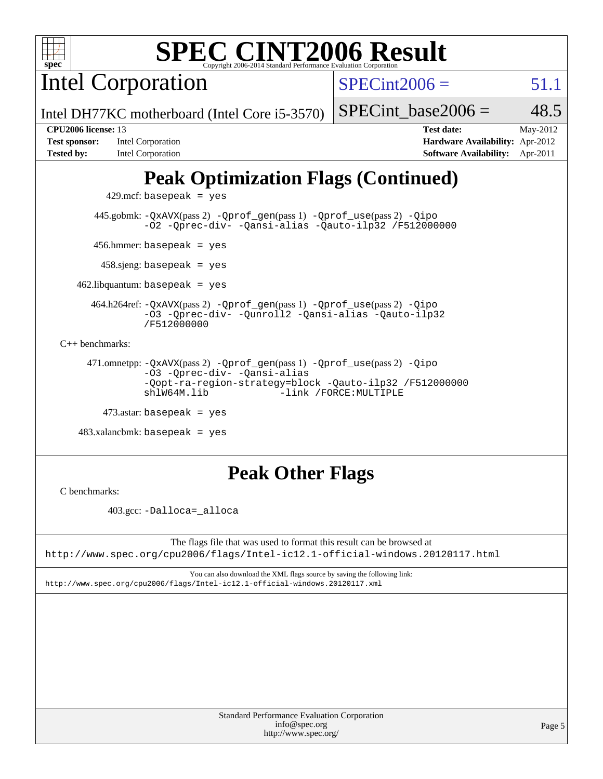

Intel Corporation

 $SPECint2006 = 51.1$  $SPECint2006 = 51.1$ 

Intel DH77KC motherboard (Intel Core i5-3570)

| <b>Test sponsor:</b> | Intel Corporation |
|----------------------|-------------------|
| <b>Tested by:</b>    | Intel Corporation |

SPECint base2006 =  $48.5$ **[CPU2006 license:](http://www.spec.org/auto/cpu2006/Docs/result-fields.html#CPU2006license)** 13 **[Test date:](http://www.spec.org/auto/cpu2006/Docs/result-fields.html#Testdate)** May-2012

**[Hardware Availability:](http://www.spec.org/auto/cpu2006/Docs/result-fields.html#HardwareAvailability)** Apr-2012 **[Software Availability:](http://www.spec.org/auto/cpu2006/Docs/result-fields.html#SoftwareAvailability)** Apr-2011

## **[Peak Optimization Flags \(Continued\)](http://www.spec.org/auto/cpu2006/Docs/result-fields.html#PeakOptimizationFlags)**

 $429$ .mcf: basepeak = yes

 445.gobmk: [-QxAVX](http://www.spec.org/cpu2006/results/res2012q3/cpu2006-20120702-23376.flags.html#user_peakPASS2_CFLAGSPASS2_LDFLAGS445_gobmk_f-QxAVX)(pass 2) [-Qprof\\_gen](http://www.spec.org/cpu2006/results/res2012q3/cpu2006-20120702-23376.flags.html#user_peakPASS1_CFLAGSPASS1_LDFLAGS445_gobmk_Qprof_gen)(pass 1) [-Qprof\\_use](http://www.spec.org/cpu2006/results/res2012q3/cpu2006-20120702-23376.flags.html#user_peakPASS2_CFLAGSPASS2_LDFLAGS445_gobmk_Qprof_use)(pass 2) [-Qipo](http://www.spec.org/cpu2006/results/res2012q3/cpu2006-20120702-23376.flags.html#user_peakOPTIMIZE445_gobmk_f-Qipo) [-O2](http://www.spec.org/cpu2006/results/res2012q3/cpu2006-20120702-23376.flags.html#user_peakOPTIMIZE445_gobmk_f-O2) [-Qprec-div-](http://www.spec.org/cpu2006/results/res2012q3/cpu2006-20120702-23376.flags.html#user_peakOPTIMIZE445_gobmk_f-Qprec-div-) [-Qansi-alias](http://www.spec.org/cpu2006/results/res2012q3/cpu2006-20120702-23376.flags.html#user_peakOPTIMIZE445_gobmk_f-Qansi-alias) [-Qauto-ilp32](http://www.spec.org/cpu2006/results/res2012q3/cpu2006-20120702-23376.flags.html#user_peakCOPTIMIZE445_gobmk_f-Qauto-ilp32) [/F512000000](http://www.spec.org/cpu2006/results/res2012q3/cpu2006-20120702-23376.flags.html#user_peakEXTRA_LDFLAGS445_gobmk_set_stack_space_98438a10eb60aa5f35f4c79d9b9b27b1)

456.hmmer: basepeak = yes

458.sjeng: basepeak = yes

 $462$ .libquantum: basepeak = yes

 464.h264ref: [-QxAVX](http://www.spec.org/cpu2006/results/res2012q3/cpu2006-20120702-23376.flags.html#user_peakPASS2_CFLAGSPASS2_LDFLAGS464_h264ref_f-QxAVX)(pass 2) [-Qprof\\_gen](http://www.spec.org/cpu2006/results/res2012q3/cpu2006-20120702-23376.flags.html#user_peakPASS1_CFLAGSPASS1_LDFLAGS464_h264ref_Qprof_gen)(pass 1) [-Qprof\\_use](http://www.spec.org/cpu2006/results/res2012q3/cpu2006-20120702-23376.flags.html#user_peakPASS2_CFLAGSPASS2_LDFLAGS464_h264ref_Qprof_use)(pass 2) [-Qipo](http://www.spec.org/cpu2006/results/res2012q3/cpu2006-20120702-23376.flags.html#user_peakOPTIMIZE464_h264ref_f-Qipo) [-O3](http://www.spec.org/cpu2006/results/res2012q3/cpu2006-20120702-23376.flags.html#user_peakOPTIMIZE464_h264ref_f-O3) [-Qprec-div-](http://www.spec.org/cpu2006/results/res2012q3/cpu2006-20120702-23376.flags.html#user_peakOPTIMIZE464_h264ref_f-Qprec-div-) [-Qunroll2](http://www.spec.org/cpu2006/results/res2012q3/cpu2006-20120702-23376.flags.html#user_peakOPTIMIZE464_h264ref_f-Qunroll_1d9456aa650e77fc2a0cf43cef3fa08c) [-Qansi-alias](http://www.spec.org/cpu2006/results/res2012q3/cpu2006-20120702-23376.flags.html#user_peakOPTIMIZE464_h264ref_f-Qansi-alias) [-Qauto-ilp32](http://www.spec.org/cpu2006/results/res2012q3/cpu2006-20120702-23376.flags.html#user_peakCOPTIMIZE464_h264ref_f-Qauto-ilp32) [/F512000000](http://www.spec.org/cpu2006/results/res2012q3/cpu2006-20120702-23376.flags.html#user_peakEXTRA_LDFLAGS464_h264ref_set_stack_space_98438a10eb60aa5f35f4c79d9b9b27b1)

[C++ benchmarks:](http://www.spec.org/auto/cpu2006/Docs/result-fields.html#CXXbenchmarks)

```
 471.omnetpp: -QxAVX(pass 2) -Qprof_gen(pass 1) -Qprof_use(pass 2) -Qipo
-O3 -Qprec-div- -Qansi-alias
-Qopt-ra-region-strategy=block -Qauto-ilp32 /F512000000
                         -link /FORCE: MULTIPLE
```
 $473$ .astar: basepeak = yes

 $483.xalanchmk: basepeak = yes$ 

### **[Peak Other Flags](http://www.spec.org/auto/cpu2006/Docs/result-fields.html#PeakOtherFlags)**

[C benchmarks](http://www.spec.org/auto/cpu2006/Docs/result-fields.html#Cbenchmarks):

403.gcc: [-Dalloca=\\_alloca](http://www.spec.org/cpu2006/results/res2012q3/cpu2006-20120702-23376.flags.html#b403.gcc_peakEXTRA_CFLAGS_Dalloca_be3056838c12de2578596ca5467af7f3)

The flags file that was used to format this result can be browsed at <http://www.spec.org/cpu2006/flags/Intel-ic12.1-official-windows.20120117.html>

You can also download the XML flags source by saving the following link: <http://www.spec.org/cpu2006/flags/Intel-ic12.1-official-windows.20120117.xml>